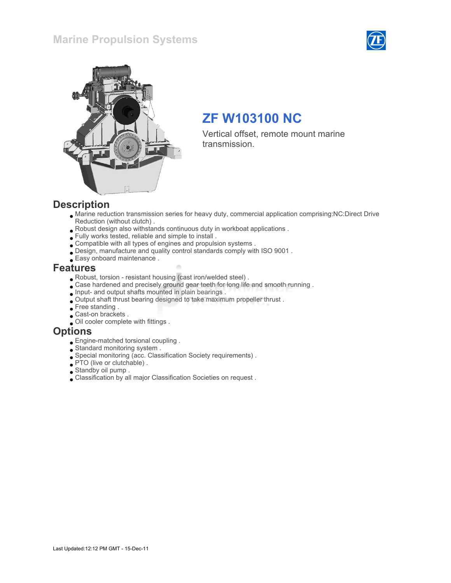### Marine Propulsion Systems





## ZF W103100 NC

Vertical offset, remote mount marine transmission.

#### **Description**

- Marine reduction transmission series for heavy duty, commercial application comprising:NC:Direct Drive Reduction (without clutch) .
- Robust design also withstands continuous duty in workboat applications .
- Fully works tested, reliable and simple to install .
- Compatible with all types of engines and propulsion systems .
- Design, manufacture and quality control standards comply with ISO 9001 .
- Easy onboard maintenance .

#### Features

- Robust, torsion resistant housing (cast iron/welded steel) .
- Case hardened and precisely ground gear teeth for long life and smooth running .
- Input- and output shafts mounted in plain bearings .
- Output shaft thrust bearing designed to take maximum propeller thrust .
- Free standing.
- Cast-on brackets .
- Oil cooler complete with fittings .

#### **Options**

- Engine-matched torsional coupling .
- Standard monitoring system .
- Special monitoring (acc. Classification Society requirements) .
- PTO (live or clutchable) .
- Standby oil pump .
- Classification by all major Classification Societies on request .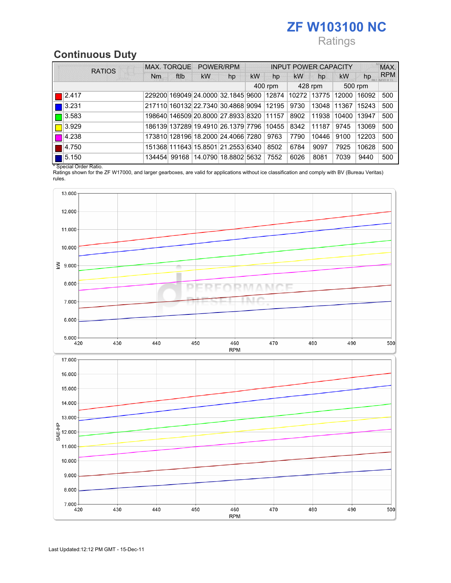# ZF W103100 NC

### **Ratings**

## Continuous Duty

| <b>RATIOS</b>        |    | <b>MAX. TORQUE</b> |                                                            | POWER/RPM |           | <b>INPUT POWER CAPACITY</b> |           |             |           |         | MAX.       |
|----------------------|----|--------------------|------------------------------------------------------------|-----------|-----------|-----------------------------|-----------|-------------|-----------|---------|------------|
|                      | Nm | ftlb               | <b>kW</b>                                                  | hp        | <b>kW</b> | hp                          | <b>kW</b> | hp          | <b>kW</b> | hp      | <b>RPM</b> |
|                      |    |                    |                                                            |           |           | 400 rpm                     |           | 428 rpm     |           | 500 rpm |            |
| 2.417                |    |                    | 229200 169049 24.0000 32.1845 9600 12874 10272 13775 12000 |           |           |                             |           |             |           | 16092   | 500        |
| 3.231                |    |                    | 217110 160132 22.7340 30.4868 9094 12195                   |           |           |                             | 9730      | 13048 11367 |           | 15243   | 500        |
| $\blacksquare$ 3.583 |    |                    | 198640 146509 20.8000 27.8933 8320 11157                   |           |           |                             | 8902      | 11938       | 10400     | 13947   | 500        |
| $\blacksquare$ 3.929 |    |                    | 186139 137289 19.4910 26.1379 7796 10455                   |           |           |                             | 8342      | 11187       | 9745      | 13069   | 500        |
| 4.238                |    |                    | 173810 128196 18.2000 24.4066 7280                         |           |           | 9763                        | 7790      | 10446       | 9100      | 12203   | 500        |
| 4.750                |    |                    | 151368 111643 15.8501 21.2553 6340                         |           |           | 8502                        | 6784      | 9097        | 7925      | 10628   | 500        |
| 5.150                |    |                    | 134454 99168 14.0790 18.8802 5632                          |           |           | 7552                        | 6026      | 8081        | 7039      | 9440    | 500        |

\* Special Order Ratio.

Ratings shown for the ZF W17000, and larger gearboxes, are valid for applications without ice classification and comply with BV (Bureau Veritas) rules.

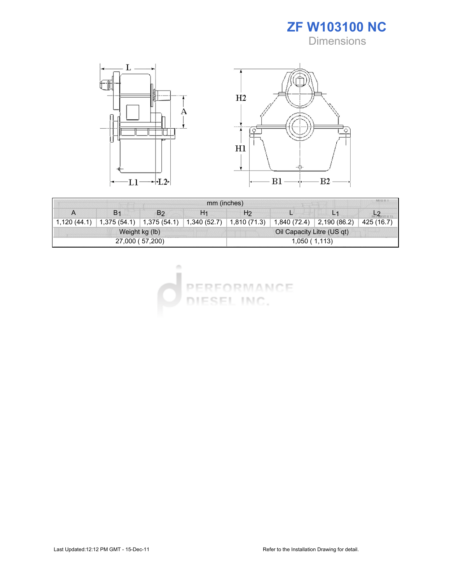ZF W103100 NC **Dimensions** 



| mm (inches)     |                |                                  |                |                            |              |                      |            |  |  |
|-----------------|----------------|----------------------------------|----------------|----------------------------|--------------|----------------------|------------|--|--|
| A               | B <sub>1</sub> | B <sub>2</sub>                   | H <sub>1</sub> | H2                         |              |                      |            |  |  |
| 1,120(44.1)     |                | $1,375(54.1)$ $\mid 1,375(54.1)$ | 1,340(52.7)    | 1,810 (71.3)               | 1,840 (72.4) | $\vert$ 2,190 (86.2) | 425 (16.7) |  |  |
| Weight kg (lb)  |                |                                  |                | Oil Capacity Litre (US qt) |              |                      |            |  |  |
| 27,000 (57,200) |                |                                  |                | 1,050(1,113)               |              |                      |            |  |  |

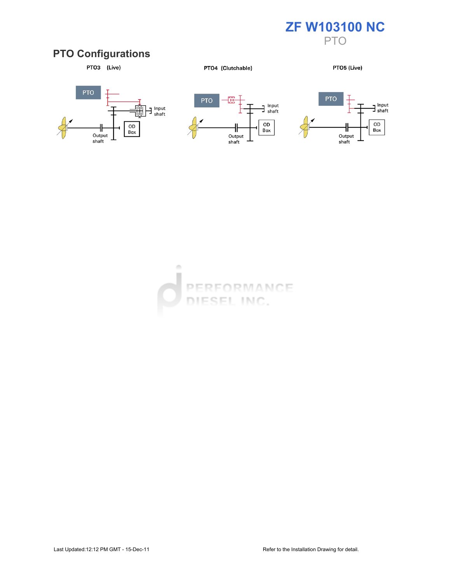

#### PTO Configurations



PTO4 (Clutchable)

PTO5 (Live)